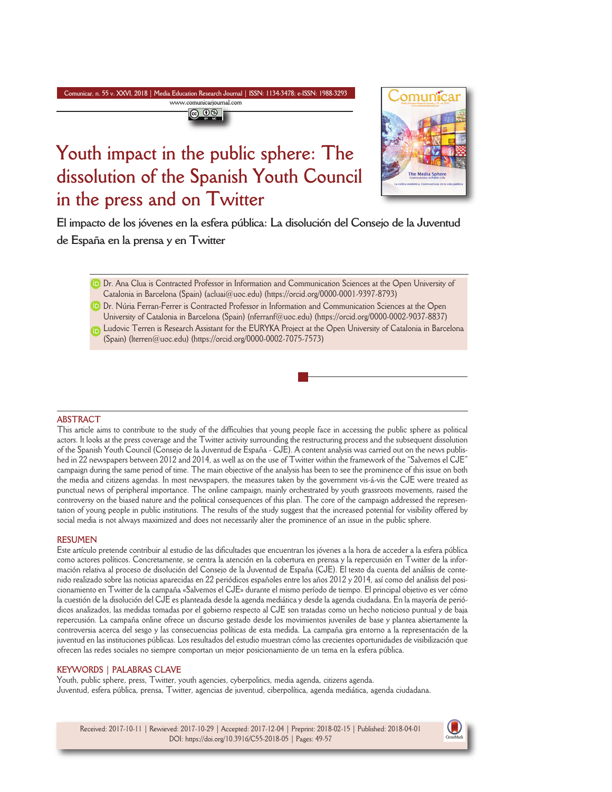#### **Comunicar, n. 55 v. XXVI, 2018 | Media Education Research Journal | ISSN: 1134-3478; e-ISSN: 1988-3293 www.comunicarjournal.com**



# **Youth impact in the public sphere: The dissolution of the Spanish Youth Council in the press and on Twitter**



**El impacto de los jóvenes en la esfera pública: La disolución del Consejo de la Juventud de España en la prensa y en Twitter**

**D** Dr. Ana Clua is Contracted Professor in Information and Communication Sciences at the Open University of Catalonia in Barcelona (Spain) (acluai@uoc.edu) (https://orcid.org/0000-0001-9397-8793)

Dr. Núria Ferran-Ferrer is Contracted Professor in Information and Communication Sciences at the Open University of Catalonia in Barcelona (Spain) (nferranf@uoc.edu) (https://orcid.org/0000-0002-9037-8837)

Ludovic Terren is Research Assistant for the EURYKA Project at the Open University of Catalonia in Barcelona (Spain) (lterren@uoc.edu) (https://orcid.org/0000-0002-7075-7573)

#### **ABSTRACT**

This article aims to contribute to the study of the difficulties that young people face in accessing the public sphere as political actors. It looks at the press coverage and the Twitter activity surrounding the restructuring process and the subsequent dissolution of the Spanish Youth Council (Consejo de la Juventud de España - CJE). A content analysis was carried out on the news published in 22 newspapers between 2012 and 2014, as well as on the use of Twitter within the framework of the "Salvemos el CJE" campaign during the same period of time. The main objective of the analysis has been to see the prominence of this issue on both the media and citizens agendas. In most newspapers, the measures taken by the government vis-á-vis the CJE were treated as punctual news of peripheral importance. The online campaign, mainly orchestrated by youth grassroots movements, raised the controversy on the biased nature and the political consequences of this plan. The core of the campaign addressed the representation of young people in public institutions. The results of the study suggest that the increased potential for visibility offered by social media is not always maximized and does not necessarily alter the prominence of an issue in the public sphere.

#### **RESUMEN**

Este artículo pretende contribuir al estudio de las dificultades que encuentran los jóvenes a la hora de acceder a la esfera pública como actores políticos. Concretamente, se centra la atención en la cobertura en prensa y la repercusión en Twitter de la información relativa al proceso de disolución del Consejo de la Juventud de España (CJE). El texto da cuenta del análisis de contenido realizado sobre las noticias aparecidas en 22 periódicos españoles entre los años 2012 y 2014, así como del análisis del posicionamiento en Twitter de la campaña «Salvemos el CJE» durante el mismo período de tiempo. El principal objetivo es ver cómo la cuestión de la disolución del CJE es planteada desde la agenda mediática y desde la agenda ciudadana. En la mayoría de periódicos analizados, las medidas tomadas por el gobierno respecto al CJE son tratadas como un hecho noticioso puntual y de baja repercusión. La campaña online ofrece un discurso gestado desde los movimientos juveniles de base y plantea abiertamente la controversia acerca del sesgo y las consecuencias políticas de esta medida. La campaña gira entorno a la representación de la juventud en las instituciones públicas. Los resultados del estudio muestran cómo las crecientes oportunidades de visibilización que ofrecen las redes sociales no siempre comportan un mejor posicionamiento de un tema en la esfera pública.

### **KEYWORDS | PALABRAS CLAVE**

Youth, public sphere, press, Twitter, youth agencies, cyberpolitics, media agenda, citizens agenda. Juventud, esfera pública, prensa, Twitter, agencias de juventud, ciberpolítica, agenda mediática, agenda ciudadana.

Received: 2017-10-11 | Rewieved: 2017-10-29 | Accepted: 2017-12-04 | Preprint: 2018-02-15 | Published: 2018-04-01 DOI: https://doi.org/10.3916/C55-2018-05 | Pages: 49-57

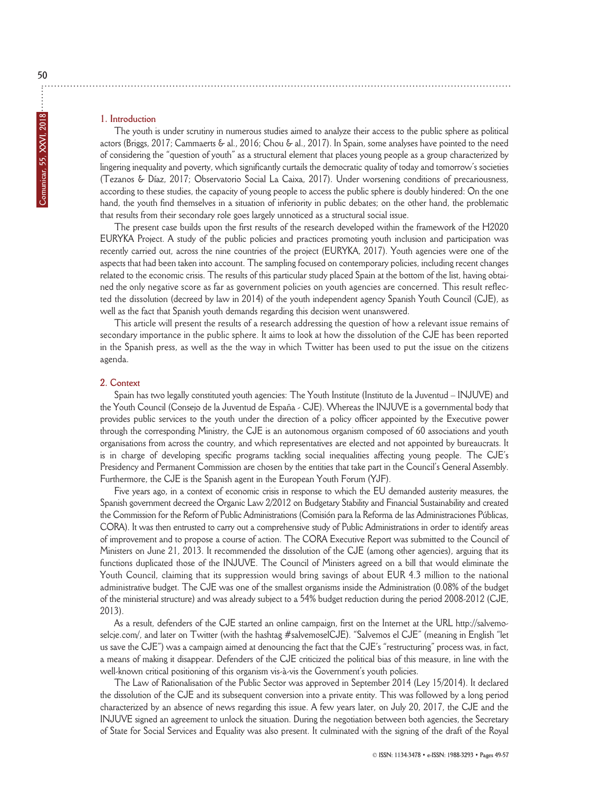## **1. Introduction**

The youth is under scrutiny in numerous studies aimed to analyze their access to the public sphere as political actors (Briggs, 2017; Cammaerts & al., 2016; Chou & al., 2017). In Spain, some analyses have pointed to the need of considering the "question of youth" as a structural element that places young people as a group characterized by lingering inequality and poverty, which significantly curtails the democratic quality of today and tomorrow's societies (Tezanos & Díaz, 2017; Observatorio Social La Caixa, 2017). Under worsening conditions of precariousness, according to these studies, the capacity of young people to access the public sphere is doubly hindered: On the one hand, the youth find themselves in a situation of inferiority in public debates; on the other hand, the problematic that results from their secondary role goes largely unnoticed as a structural social issue.

The present case builds upon the first results of the research developed within the framework of the H2020 EURYKA Project. A study of the public policies and practices promoting youth inclusion and participation was recently carried out, across the nine countries of the project (EURYKA, 2017). Youth agencies were one of the aspects that had been taken into account. The sampling focused on contemporary policies, including recent changes related to the economic crisis. The results of this particular study placed Spain at the bottom of the list, having obtained the only negative score as far as government policies on youth agencies are concerned. This result reflected the dissolution (decreed by law in 2014) of the youth independent agency Spanish Youth Council (CJE), as well as the fact that Spanish youth demands regarding this decision went unanswered.

This article will present the results of a research addressing the question of how a relevant issue remains of secondary importance in the public sphere. It aims to look at how the dissolution of the CJE has been reported in the Spanish press, as well as the the way in which Twitter has been used to put the issue on the citizens agenda.

### **2. Context**

Spain has two legally constituted youth agencies: The Youth Institute (Instituto de la Juventud – INJUVE) and the Youth Council (Consejo de la Juventud de España - CJE). Whereas the INJUVE is a governmental body that provides public services to the youth under the direction of a policy officer appointed by the Executive power through the corresponding Ministry, the CJE is an autonomous organism composed of 60 associations and youth organisations from across the country, and which representatives are elected and not appointed by bureaucrats. It is in charge of developing specific programs tackling social inequalities affecting young people. The CJE's Presidency and Permanent Commission are chosen by the entities that take part in the Council's General Assembly. Furthermore, the CJE is the Spanish agent in the European Youth Forum (YJF).

Five years ago, in a context of economic crisis in response to which the EU demanded austerity measures, the Spanish government decreed the Organic Law 2/2012 on Budgetary Stability and Financial Sustainability and created the Commission for the Reform of Public Administrations (Comisión para la Reforma de las Administraciones Públicas, CORA). It was then entrusted to carry out a comprehensive study of Public Administrations in order to identify areas of improvement and to propose a course of action. The CORA Executive Report was submitted to the Council of Ministers on June 21, 2013. It recommended the dissolution of the CJE (among other agencies), arguing that its functions duplicated those of the INJUVE. The Council of Ministers agreed on a bill that would eliminate the Youth Council, claiming that its suppression would bring savings of about EUR 4.3 million to the national administrative budget. The CJE was one of the smallest organisms inside the Administration (0.08% of the budget of the ministerial structure) and was already subject to a 54% budget reduction during the period 2008-2012 (CJE, 2013).

As a result, defenders of the CJE started an online campaign, first on the Internet at the URL http://salvemoselcje.com/, and later on Twitter (with the hashtag #salvemoselCJE). "Salvemos el CJE" (meaning in English "let us save the CJE") was a campaign aimed at denouncing the fact that the CJE's "restructuring" process was, in fact, a means of making it disappear. Defenders of the CJE criticized the political bias of this measure, in line with the well-known critical positioning of this organism vis-à-vis the Government's youth policies.

The Law of Rationalisation of the Public Sector was approved in September 2014 (Ley 15/2014). It declared the dissolution of the CJE and its subsequent conversion into a private entity. This was followed by a long period characterized by an absence of news regarding this issue. A few years later, on July 20, 2017, the CJE and the INJUVE signed an agreement to unlock the situation. During the negotiation between both agencies, the Secretary of State for Social Services and Equality was also present. It culminated with the signing of the draft of the Royal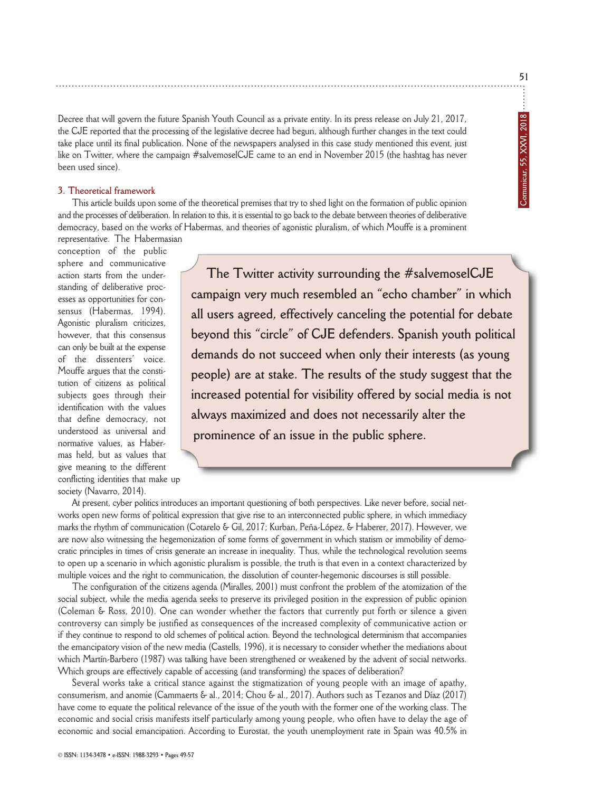Decree that will govern the future Spanish Youth Council as a private entity. In its press release on July 21, 2017, the CJE reported that the processing of the legislative decree had begun, although further changes in the text could take place until its final publication. None of the newspapers analysed in this case study mentioned this event, just like on Twitter, where the campaign #salvemoselCJE came to an end in November 2015 (the hashtag has never been used since).

## **3. Theoretical framework**

This article builds upon some of the theoretical premises that try to shed light on the formation of public opinion and the processes of deliberation. In relation to this, it is essential to go back to the debate between theories of deliberative democracy, based on the works of Habermas, and theories of agonistic pluralism, of which Mouffe is a prominent representative. The Habermasian

conception of the public sphere and communicative action starts from the understanding of deliberative processes as opportunities for consensus (Habermas, 1994). Agonistic pluralism criticizes, however, that this consensus can only be built at the expense of the dissenters' voice. Mouffe argues that the constitution of citizens as political subjects goes through their identification with the values that define democracy, not understood as universal and normative values, as Habermas held, but as values that give meaning to the different conflicting identities that make up society (Navarro, 2014).

**The Twitter activity surrounding the #salvemoselCJE campaign very much resembled an "echo chamber" in which all users agreed, effectively canceling the potential for debate beyond this "circle" of CJE defenders. Spanish youth political demands do not succeed when only their interests (as young people) are at stake. The results of the study suggest that the increased potential for visibility offered by social media is not always maximized and does not necessarily alter the prominence of an issue in the public sphere.**

At present, cyber politics introduces an important questioning of both perspectives. Like never before, social networks open new forms of political expression that give rise to an interconnected public sphere, in which immediacy marks the rhythm of communication (Cotarelo & Gil, 2017; Kurban, Peña-López, & Haberer, 2017). However, we are now also witnessing the hegemonization of some forms of government in which statism or immobility of democratic principles in times of crisis generate an increase in inequality. Thus, while the technological revolution seems to open up a scenario in which agonistic pluralism is possible, the truth is that even in a context characterized by multiple voices and the right to communication, the dissolution of counter-hegemonic discourses is still possible.

The configuration of the citizens agenda (Miralles, 2001) must confront the problem of the atomization of the social subject, while the media agenda seeks to preserve its privileged position in the expression of public opinion (Coleman & Ross, 2010). One can wonder whether the factors that currently put forth or silence a given controversy can simply be justified as consequences of the increased complexity of communicative action or if they continue to respond to old schemes of political action. Beyond the technological determinism that accompanies the emancipatory vision of the new media (Castells, 1996), it is necessary to consider whether the mediations about which Martín-Barbero (1987) was talking have been strengthened or weakened by the advent of social networks. Which groups are effectively capable of accessing (and transforming) the spaces of deliberation?

Several works take a critical stance against the stigmatization of young people with an image of apathy, consumerism, and anomie (Cammaerts & al., 2014; Chou & al., 2017). Authors such as Tezanos and Díaz (2017) have come to equate the political relevance of the issue of the youth with the former one of the working class. The economic and social crisis manifests itself particularly among young people, who often have to delay the age of economic and social emancipation. According to Eurostat, the youth unemployment rate in Spain was 40.5% in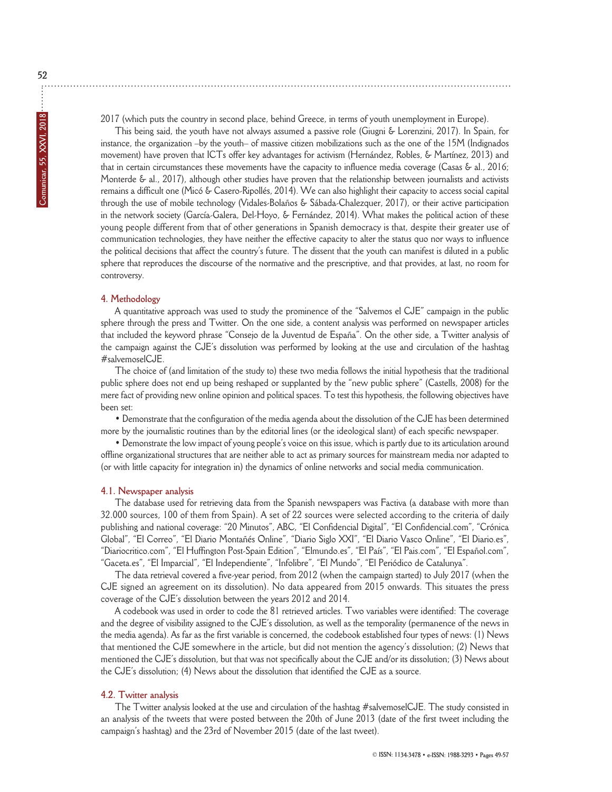2017 (which puts the country in second place, behind Greece, in terms of youth unemployment in Europe).

This being said, the youth have not always assumed a passive role (Giugni & Lorenzini, 2017). In Spain, for instance, the organization –by the youth– of massive citizen mobilizations such as the one of the 15M (Indignados movement) have proven that ICTs offer key advantages for activism (Hernández, Robles, & Martínez, 2013) and that in certain circumstances these movements have the capacity to influence media coverage (Casas & al., 2016; Monterde & al., 2017), although other studies have proven that the relationship between journalists and activists remains a difficult one (Micó & Casero-Ripollés, 2014). We can also highlight their capacity to access social capital through the use of mobile technology (Vidales-Bolaños & Sábada-Chalezquer, 2017), or their active participation in the network society (García-Galera, Del-Hoyo, & Fernández, 2014). What makes the political action of these young people different from that of other generations in Spanish democracy is that, despite their greater use of communication technologies, they have neither the effective capacity to alter the status quo nor ways to influence the political decisions that affect the country's future. The dissent that the youth can manifest is diluted in a public sphere that reproduces the discourse of the normative and the prescriptive, and that provides, at last, no room for controversy.

### **4. Methodology**

A quantitative approach was used to study the prominence of the "Salvemos el CJE" campaign in the public sphere through the press and Twitter. On the one side, a content analysis was performed on newspaper articles that included the keyword phrase "Consejo de la Juventud de España". On the other side, a Twitter analysis of the campaign against the CJE's dissolution was performed by looking at the use and circulation of the hashtag #salvemoselCJE.

The choice of (and limitation of the study to) these two media follows the initial hypothesis that the traditional public sphere does not end up being reshaped or supplanted by the "new public sphere" (Castells, 2008) for the mere fact of providing new online opinion and political spaces. To test this hypothesis, the following objectives have been set:

• Demonstrate that the configuration of the media agenda about the dissolution of the CJE has been determined more by the journalistic routines than by the editorial lines (or the ideological slant) of each specific newspaper.

• Demonstrate the low impact of young people's voice on this issue, which is partly due to its articulation around offline organizational structures that are neither able to act as primary sources for mainstream media nor adapted to (or with little capacity for integration in) the dynamics of online networks and social media communication.

### **4.1. Newspaper analysis**

The database used for retrieving data from the Spanish newspapers was Factiva (a database with more than 32.000 sources, 100 of them from Spain). A set of 22 sources were selected according to the criteria of daily publishing and national coverage: "20 Minutos", ABC, "El Confidencial Digital", "El Confidencial.com", "Crónica Global", "El Correo", "El Diario Montañés Online", "Diario Siglo XXI", "El Diario Vasco Online", "El Diario.es", "Diariocritico.com", "El Huffington Post-Spain Edition", "Elmundo.es", "El País", "El Pais.com", "El Español.com", "Gaceta.es", "El Imparcial", "El Independiente", "Infolibre", "El Mundo", "El Periódico de Catalunya".

The data retrieval covered a five-year period, from 2012 (when the campaign started) to July 2017 (when the CJE signed an agreement on its dissolution). No data appeared from 2015 onwards. This situates the press coverage of the CJE's dissolution between the years 2012 and 2014.

A codebook was used in order to code the 81 retrieved articles. Two variables were identified: The coverage and the degree of visibility assigned to the CJE's dissolution, as well as the temporality (permanence of the news in the media agenda). As far as the first variable is concerned, the codebook established four types of news: (1) News that mentioned the CJE somewhere in the article, but did not mention the agency's dissolution; (2) News that mentioned the CJE's dissolution, but that was not specifically about the CJE and/or its dissolution; (3) News about the CJE's dissolution; (4) News about the dissolution that identified the CJE as a source.

### **4.2. Twitter analysis**

The Twitter analysis looked at the use and circulation of the hashtag #salvemoselCJE. The study consisted in an analysis of the tweets that were posted between the 20th of June 2013 (date of the first tweet including the campaign's hashtag) and the 23rd of November 2015 (date of the last tweet).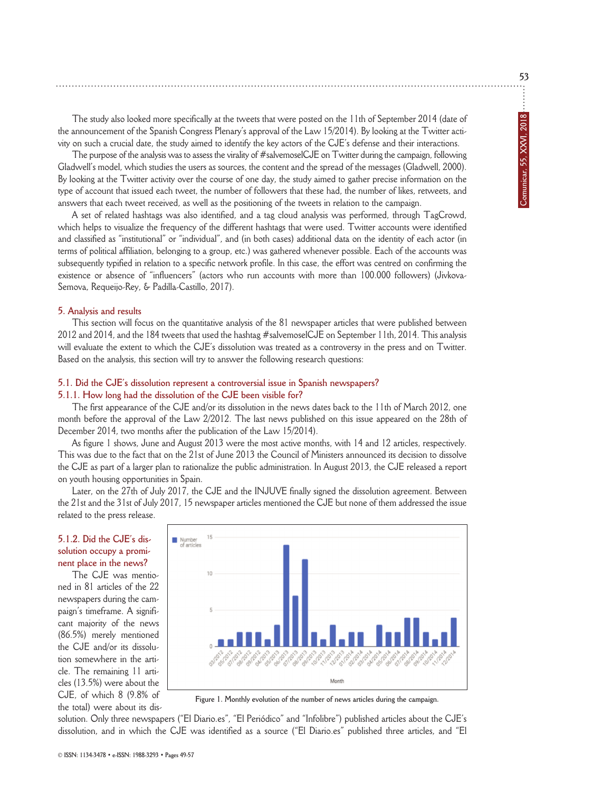The study also looked more specifically at the tweets that were posted on the 11th of September 2014 (date of the announcement of the Spanish Congress Plenary's approval of the Law 15/2014). By looking at the Twitter activity on such a crucial date, the study aimed to identify the key actors of the CJE's defense and their interactions.

The purpose of the analysis was to assess the virality of #salvemoselCJE on Twitter during the campaign, following Gladwell's model, which studies the users as sources, the content and the spread of the messages (Gladwell, 2000). By looking at the Twitter activity over the course of one day, the study aimed to gather precise information on the type of account that issued each tweet, the number of followers that these had, the number of likes, retweets, and answers that each tweet received, as well as the positioning of the tweets in relation to the campaign.

A set of related hashtags was also identified, and a tag cloud analysis was performed, through TagCrowd, which helps to visualize the frequency of the different hashtags that were used. Twitter accounts were identified and classified as "institutional" or "individual", and (in both cases) additional data on the identity of each actor (in terms of political affiliation, belonging to a group, etc.) was gathered whenever possible. Each of the accounts was subsequently typified in relation to a specific network profile. In this case, the effort was centred on confirming the existence or absence of "influencers" (actors who run accounts with more than 100.000 followers) (Jivkova-Semova, Requeijo-Rey, & Padilla-Castillo, 2017).

#### **5. Analysis and results**

This section will focus on the quantitative analysis of the 81 newspaper articles that were published between 2012 and 2014, and the 184 tweets that used the hashtag #salvemoselCJE on September 11th, 2014. This analysis will evaluate the extent to which the CJE's dissolution was treated as a controversy in the press and on Twitter. Based on the analysis, this section will try to answer the following research questions:

#### **5.1. Did the CJE's dissolution represent a controversial issue in Spanish newspapers?**

#### **5.1.1. How long had the dissolution of the CJE been visible for?**

The first appearance of the CJE and/or its dissolution in the news dates back to the 11th of March 2012, one month before the approval of the Law 2/2012. The last news published on this issue appeared on the 28th of December 2014, two months after the publication of the Law 15/2014).

As figure 1 shows, June and August 2013 were the most active months, with 14 and 12 articles, respectively. This was due to the fact that on the 21st of June 2013 the Council of Ministers announced its decision to dissolve the CJE as part of a larger plan to rationalize the public administration. In August 2013, the CJE released a report on youth housing opportunities in Spain.

Later, on the 27th of July 2017, the CJE and the INJUVE finally signed the dissolution agreement. Between the 21st and the 31st of July 2017, 15 newspaper articles mentioned the CJE but none of them addressed the issue related to the press release.

# **5.1.2. Did the CJE's dissolution occupy a prominent place in the news?**

The CJE was mentioned in 81 articles of the 22 newspapers during the campaign's timeframe. A significant majority of the news (86.5%) merely mentioned the CJE and/or its dissolution somewhere in the article. The remaining 11 articles (13.5%) were about the CJE, of which 8 (9.8% of the total) were about its dis-



**Figure 1. Monthly evolution of the number of news articles during the campaign.**

solution. Only three newspapers ("El Diario.es", "El Periódico" and "Infolibre") published articles about the CJE's dissolution, and in which the CJE was identified as a source ("El Diario.es" published three articles, and "El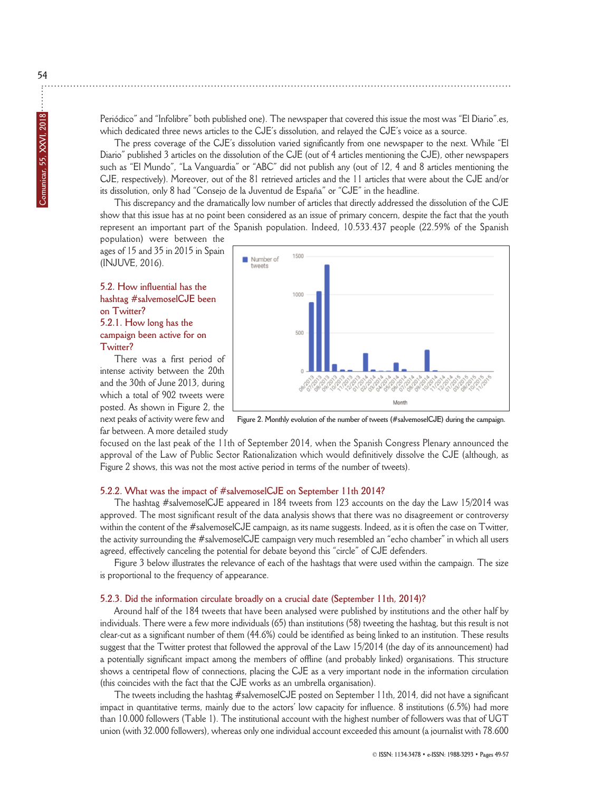Periódico" and "Infolibre" both published one). The newspaper that covered this issue the most was "El Diario".es, which dedicated three news articles to the CJE's dissolution, and relayed the CJE's voice as a source.

The press coverage of the CJE's dissolution varied significantly from one newspaper to the next. While "El Diario" published 3 articles on the dissolution of the CJE (out of 4 articles mentioning the CJE), other newspapers such as "El Mundo", "La Vanguardia" or "ABC" did not publish any (out of 12, 4 and 8 articles mentioning the CJE, respectively). Moreover, out of the 81 retrieved articles and the 11 articles that were about the CJE and/or its dissolution, only 8 had "Consejo de la Juventud de España" or "CJE" in the headline.

This discrepancy and the dramatically low number of articles that directly addressed the dissolution of the CJE show that this issue has at no point been considered as an issue of primary concern, despite the fact that the youth represent an important part of the Spanish population. Indeed, 10.533.437 people (22.59% of the Spanish population) were between the

ages of 15 and 35 in 2015 in Spain (INJUVE, 2016).

# **5.2. How influential has the hashtag #salvemoselCJE been on Twitter? 5.2.1. How long has the campaign been active for on Twitter?**

There was a first period of intense activity between the 20th and the 30th of June 2013, during which a total of 902 tweets were posted. As shown in Figure 2, the next peaks of activity were few and far between. A more detailed study



**Figure 2. Monthly evolution of the number of tweets (#salvemoselCJE) during the campaign.**

focused on the last peak of the 11th of September 2014, when the Spanish Congress Plenary announced the approval of the Law of Public Sector Rationalization which would definitively dissolve the CJE (although, as Figure 2 shows, this was not the most active period in terms of the number of tweets).

# **5.2.2. What was the impact of #salvemoselCJE on September 11th 2014?**

The hashtag #salvemoselCJE appeared in 184 tweets from 123 accounts on the day the Law 15/2014 was approved. The most significant result of the data analysis shows that there was no disagreement or controversy within the content of the #salvemoselCJE campaign, as its name suggests. Indeed, as it is often the case on Twitter, the activity surrounding the #salvemoselCJE campaign very much resembled an "echo chamber" in which all users agreed, effectively canceling the potential for debate beyond this "circle" of CJE defenders.

Figure 3 below illustrates the relevance of each of the hashtags that were used within the campaign. The size is proportional to the frequency of appearance.

### **5.2.3. Did the information circulate broadly on a crucial date (September 11th, 2014)?**

Around half of the 184 tweets that have been analysed were published by institutions and the other half by individuals. There were a few more individuals (65) than institutions (58) tweeting the hashtag, but this result is not clear-cut as a significant number of them (44.6%) could be identified as being linked to an institution. These results suggest that the Twitter protest that followed the approval of the Law 15/2014 (the day of its announcement) had a potentially significant impact among the members of offline (and probably linked) organisations. This structure shows a centripetal flow of connections, placing the CJE as a very important node in the information circulation (this coincides with the fact that the CJE works as an umbrella organisation).

The tweets including the hashtag #salvemoselCJE posted on September 11th, 2014, did not have a significant impact in quantitative terms, mainly due to the actors' low capacity for influence. 8 institutions (6.5%) had more than 10.000 followers (Table 1). The institutional account with the highest number of followers was that of UGT union (with 32.000 followers), whereas only one individual account exceeded this amount (a journalist with 78.600

**54**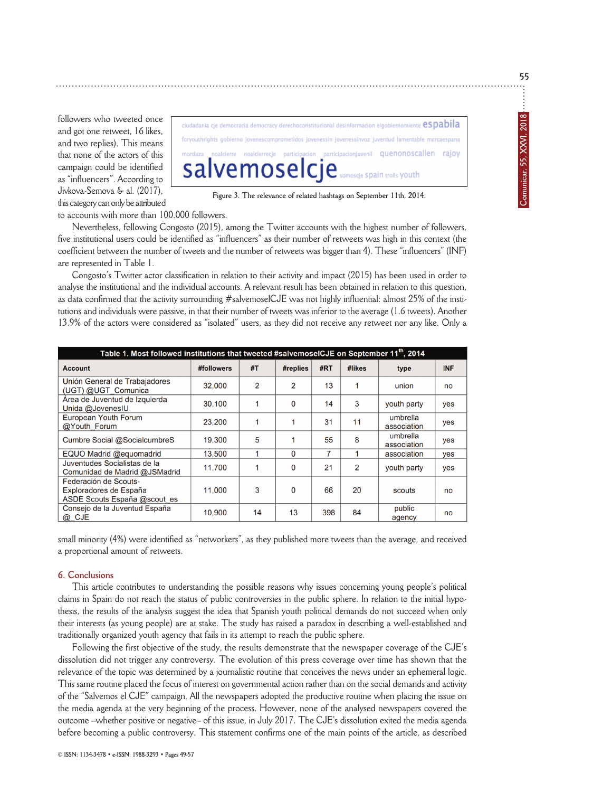followers who tweeted once and got one retweet, 16 likes, and two replies). This means that none of the actors of this campaign could be identified as "influencers". According to Jivkova-Semova & al. (2017), this category can only be attributed

ciudadania cje democracia democracy derechoconstitucional desinformacion elgobiernomiente espabila foryouthrights gobierno jovenescomprometidos jovenessin jovenessinvoz juventud lamentable marcaespana participacionjuvenil quenonoscallen rajoy participacion /emoselc moscie Spain trolls VOuth

**Figure 3. The relevance of related hashtags on September 11th, 2014.**

to accounts with more than 100.000 followers.

Nevertheless, following Congosto (2015), among the Twitter accounts with the highest number of followers, five institutional users could be identified as "influencers" as their number of retweets was high in this context (the coefficient between the number of tweets and the number of retweets was bigger than 4). These "influencers" (INF) are represented in Table 1.

Congosto's Twitter actor classification in relation to their activity and impact (2015) has been used in order to analyse the institutional and the individual accounts. A relevant result has been obtained in relation to this question, as data confirmed that the activity surrounding #salvemoselCJE was not highly influential: almost 25% of the institutions and individuals were passive, in that their number of tweets was inferior to the average (1.6 tweets). Another 13.9% of the actors were considered as "isolated" users, as they did not receive any retweet nor any like. Only a

| Table 1. Most followed institutions that tweeted #salvemoselCJE on September 11 <sup>th</sup> , 2014 |            |    |          |     |                |                         |            |
|------------------------------------------------------------------------------------------------------|------------|----|----------|-----|----------------|-------------------------|------------|
| <b>Account</b>                                                                                       | #followers | #T | #replies | #RT | #likes         | type                    | <b>INF</b> |
| Unión General de Trabajadores<br>(UGT) @UGT Comunica                                                 | 32,000     | 2  | 2        | 13  | 1              | union                   | no         |
| Área de Juventud de Izquierda<br>Unida @JovenesIU                                                    | 30.100     | 1  | $\Omega$ | 14  | 3              | youth party             | yes        |
| European Youth Forum<br>@Youth Forum                                                                 | 23,200     |    |          | 31  | 11             | umbrella<br>association | yes        |
| Cumbre Social @SocialcumbreS                                                                         | 19,300     | 5  |          | 55  | 8              | umbrella<br>association | yes        |
| EQUO Madrid @equomadrid                                                                              | 13.500     |    | 0        | 7   |                | association             | yes        |
| Juventudes Socialistas de la<br>Comunidad de Madrid @JSMadrid                                        | 11.700     |    | 0        | 21  | $\overline{2}$ | youth party             | yes        |
| Federación de Scouts-<br>Exploradores de España<br>ASDE Scouts España @scout es                      | 11.000     | 3  | $\Omega$ | 66  | 20             | scouts                  | no         |
| Consejo de la Juventud España<br>@_CJE                                                               | 10,900     | 14 | 13       | 398 | 84             | public<br>agency        | no         |

small minority (4%) were identified as "networkers", as they published more tweets than the average, and received a proportional amount of retweets.

## **6. Conclusions**

This article contributes to understanding the possible reasons why issues concerning young people's political claims in Spain do not reach the status of public controversies in the public sphere. In relation to the initial hypothesis, the results of the analysis suggest the idea that Spanish youth political demands do not succeed when only their interests (as young people) are at stake. The study has raised a paradox in describing a well-established and traditionally organized youth agency that fails in its attempt to reach the public sphere.

Following the first objective of the study, the results demonstrate that the newspaper coverage of the CJE's dissolution did not trigger any controversy. The evolution of this press coverage over time has shown that the relevance of the topic was determined by a journalistic routine that conceives the news under an ephemeral logic. This same routine placed the focus of interest on governmental action rather than on the social demands and activity of the "Salvemos el CJE" campaign. All the newspapers adopted the productive routine when placing the issue on the media agenda at the very beginning of the process. However, none of the analysed newspapers covered the outcome –whether positive or negative– of this issue, in July 2017. The CJE's dissolution exited the media agenda before becoming a public controversy. This statement confirms one of the main points of the article, as described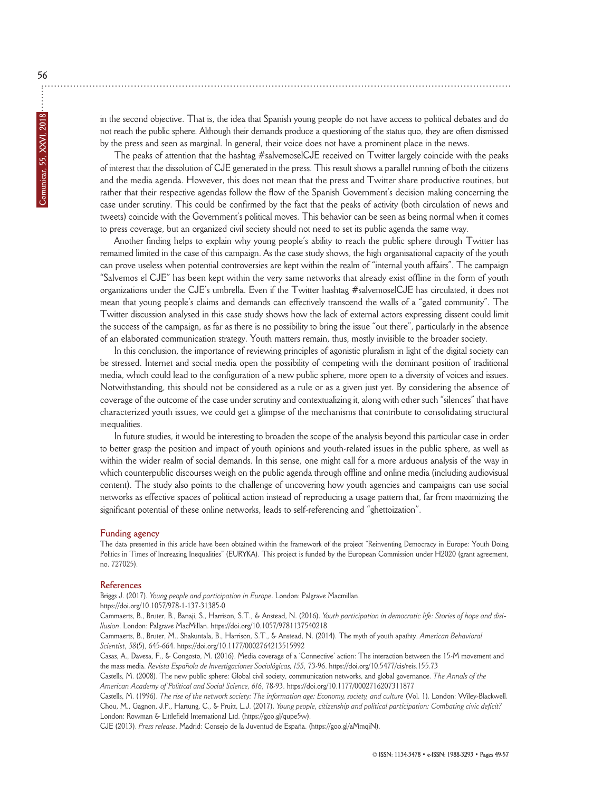in the second objective. That is, the idea that Spanish young people do not have access to political debates and do not reach the public sphere. Although their demands produce a questioning of the status quo, they are often dismissed by the press and seen as marginal. In general, their voice does not have a prominent place in the news.

The peaks of attention that the hashtag #salvemoselCJE received on Twitter largely coincide with the peaks of interest that the dissolution of CJE generated in the press. This result shows a parallel running of both the citizens and the media agenda. However, this does not mean that the press and Twitter share productive routines, but rather that their respective agendas follow the flow of the Spanish Government's decision making concerning the case under scrutiny. This could be confirmed by the fact that the peaks of activity (both circulation of news and tweets) coincide with the Government's political moves. This behavior can be seen as being normal when it comes to press coverage, but an organized civil society should not need to set its public agenda the same way.

Another finding helps to explain why young people's ability to reach the public sphere through Twitter has remained limited in the case of this campaign. As the case study shows, the high organisational capacity of the youth can prove useless when potential controversies are kept within the realm of "internal youth affairs". The campaign "Salvemos el CJE" has been kept within the very same networks that already exist offline in the form of youth organizations under the CJE's umbrella. Even if the Twitter hashtag #salvemoselCJE has circulated, it does not mean that young people's claims and demands can effectively transcend the walls of a "gated community". The Twitter discussion analysed in this case study shows how the lack of external actors expressing dissent could limit the success of the campaign, as far as there is no possibility to bring the issue "out there", particularly in the absence of an elaborated communication strategy. Youth matters remain, thus, mostly invisible to the broader society.

In this conclusion, the importance of reviewing principles of agonistic pluralism in light of the digital society can be stressed. Internet and social media open the possibility of competing with the dominant position of traditional media, which could lead to the configuration of a new public sphere, more open to a diversity of voices and issues. Notwithstanding, this should not be considered as a rule or as a given just yet. By considering the absence of coverage of the outcome of the case under scrutiny and contextualizing it, along with other such "silences" that have characterized youth issues, we could get a glimpse of the mechanisms that contribute to consolidating structural inequalities.

In future studies, it would be interesting to broaden the scope of the analysis beyond this particular case in order to better grasp the position and impact of youth opinions and youth-related issues in the public sphere, as well as within the wider realm of social demands. In this sense, one might call for a more arduous analysis of the way in which counterpublic discourses weigh on the public agenda through offline and online media (including audiovisual content). The study also points to the challenge of uncovering how youth agencies and campaigns can use social networks as effective spaces of political action instead of reproducing a usage pattern that, far from maximizing the significant potential of these online networks, leads to self-referencing and "ghettoization".

#### **Funding agency**

The data presented in this article have been obtained within the framework of the project "Reinventing Democracy in Europe: Youth Doing Politics in Times of Increasing Inequalities" (EURYKA). This project is funded by the European Commission under H2020 (grant agreement, no. 727025).

#### **References**

Briggs J. (2017). *Young people and participation in Europe*. London: Palgrave Macmillan. https://doi.org/10.1057/978-1-137-31385-0

Cammaerts, B., Bruter, B., Banaji, S., Harrison, S.T., & Anstead, N. (2016). *Youth participation in democratic life: Stories of hope and disillusion*. London: Palgrave MacMillan. https://doi.org/10.1057/9781137540218

Cammaerts, B., Bruter, M., Shakuntala, B., Harrison, S.T., & Anstead, N. (2014). The myth of youth apathty. *American Behavioral Scientist, 58*(5), 645-664. https://doi.org/10.1177/0002764213515992

Casas, A., Davesa, F., & Congosto, M. (2016). Media coverage of a 'Connective' action: The interaction between the 15-M movement and the mass media. *Revista Española de Investigaciones Sociológicas, 155,* 73-96. https://doi.org/10.5477/cis/reis.155.73

Castells, M. (2008). The new public sphere: Global civil society, communication networks, and global governance. *The Annals of the American Academy of Political and Social Science, 616*, 78-93. https://doi.org/10.1177/0002716207311877

Castells, M. (1996). *The rise of the network society: The information age: Economy, society, and culture* (Vol. 1). London: Wiley-Blackwell. Chou, M., Gagnon, J.P., Hartung, C., & Pruitt, L.J. (2017). *Young people, citizenship and political participation: Combating civic deficit?* London: Rowman & Littlefield International Ltd. (https://goo.gl/qupe5w).

CJE (2013). *Press release*. Madrid: Consejo de la Juventud de España. (https://goo.gl/aMmqjN).